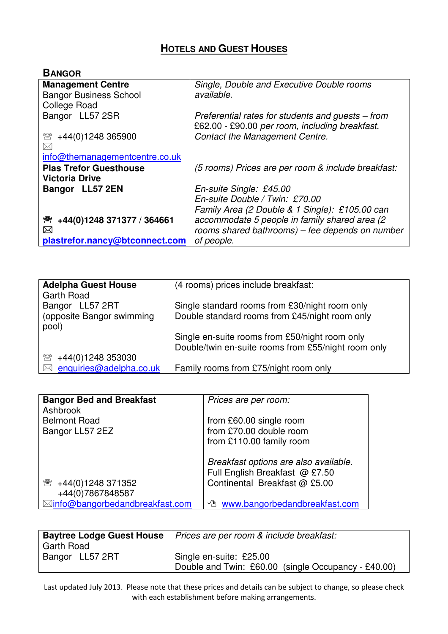## **HOTELS AND GUEST HOUSES**

| <b>BANGOR</b>                   |                                                    |
|---------------------------------|----------------------------------------------------|
| <b>Management Centre</b>        | Single, Double and Executive Double rooms          |
| <b>Bangor Business School</b>   | available.                                         |
| <b>College Road</b>             |                                                    |
| Bangor LL57 2SR                 | Preferential rates for students and guests – from  |
|                                 | £62.00 - £90.00 per room, including breakfast.     |
| +44(0)1248 365900<br>☎          | <b>Contact the Management Centre.</b>              |
| $\boxtimes$                     |                                                    |
| info@themanagementcentre.co.uk  |                                                    |
| <b>Plas Trefor Guesthouse</b>   | (5 rooms) Prices are per room & include breakfast: |
| <b>Victoria Drive</b>           |                                                    |
| Bangor LL57 2EN                 | En-suite Single: £45.00                            |
|                                 | En-suite Double / Twin: £70.00                     |
|                                 | Family Area (2 Double & 1 Single): £105.00 can     |
| +44(0)1248 371377 / 364661<br>雷 | accommodate 5 people in family shared area (2      |
| ⊠                               | rooms shared bathrooms) - fee depends on number    |
| plastrefor.nancy@btconnect.com  | of people.                                         |

| (4 rooms) prices include breakfast:                 |
|-----------------------------------------------------|
|                                                     |
| Single standard rooms from £30/night room only      |
| Double standard rooms from £45/night room only      |
|                                                     |
| Single en-suite rooms from £50/night room only      |
| Double/twin en-suite rooms from £55/night room only |
|                                                     |
| Family rooms from £75/night room only               |
|                                                     |

| <b>Bangor Bed and Breakfast</b><br>Ashbrook | Prices are per room:                       |
|---------------------------------------------|--------------------------------------------|
| <b>Belmont Road</b>                         | from £60.00 single room                    |
| Bangor LL57 2EZ                             | from £70.00 double room                    |
|                                             | from £110.00 family room                   |
|                                             | Breakfast options are also available.      |
|                                             | Full English Breakfast @ £7.50             |
| +44(0)1248 371352<br>☎                      | Continental Breakfast @ £5.00              |
| +44(0)7867848587                            |                                            |
| ⊠info@bangorbedandbreakfast.com             | <sup>1</sup> www.bangorbedandbreakfast.com |

|                   | <b>Baytree Lodge Guest House</b>   Prices are per room & include breakfast: |
|-------------------|-----------------------------------------------------------------------------|
| <b>Garth Road</b> |                                                                             |
| Bangor LL57 2RT   | Single en-suite: £25.00                                                     |
|                   | Double and Twin: £60.00 (single Occupancy - £40.00)                         |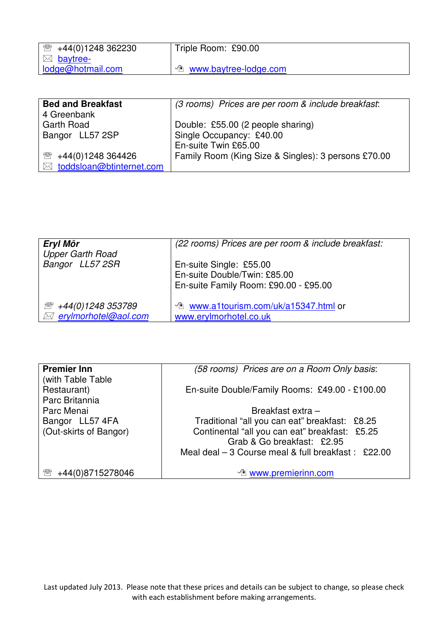| $\mathbb{R}$ +44(0)1248 362230 | Triple Room: £90.00                |
|--------------------------------|------------------------------------|
| $\boxtimes$ baytree-           |                                    |
| lodge@hotmail.com              | <sup>1</sup> www.baytree-lodge.com |
|                                |                                    |

| <b>Bed and Breakfast</b>   | (3 rooms) Prices are per room & include breakfast:  |
|----------------------------|-----------------------------------------------------|
| 4 Greenbank                |                                                     |
| Garth Road                 | Double: £55.00 (2 people sharing)                   |
| Bangor LL57 2SP            | Single Occupancy: £40.00                            |
|                            | En-suite Twin £65.00                                |
| 2 +44(0)1248 364426        | Family Room (King Size & Singles): 3 persons £70.00 |
| ⊠ toddsloan@btinternet.com |                                                     |

| Eryl Môr<br><b>Upper Garth Road</b>                                                    | (22 rooms) Prices are per room & include breakfast:                                              |
|----------------------------------------------------------------------------------------|--------------------------------------------------------------------------------------------------|
| Bangor LL57 2SR                                                                        | En-suite Single: £55.00<br>En-suite Double/Twin: £85.00<br>En-suite Family Room: £90.00 - £95.00 |
| +44(0)1248 353789<br>$\mathscr{D}_{\text{int}}^{\text{max}}$<br>⊠ erylmorhotel@aol.com | ↑ www.a1tourism.com/uk/a15347.html or<br>www.erylmorhotel.co.uk                                  |

| <b>Premier Inn</b>     | (58 rooms) Prices are on a Room Only basis:          |
|------------------------|------------------------------------------------------|
| (with Table Table)     |                                                      |
| Restaurant)            | En-suite Double/Family Rooms: £49.00 - £100.00       |
| Parc Britannia         |                                                      |
| Parc Menai             | Breakfast extra -                                    |
| Bangor LL57 4FA        | Traditional "all you can eat" breakfast: £8.25       |
| (Out-skirts of Bangor) | Continental "all you can eat" breakfast: £5.25       |
|                        | Grab & Go breakfast: £2.95                           |
|                        | Meal deal $-3$ Course meal & full breakfast : £22.00 |
|                        |                                                      |
| +44(0)8715278046       | <sup>1</sup> www.premierinn.com                      |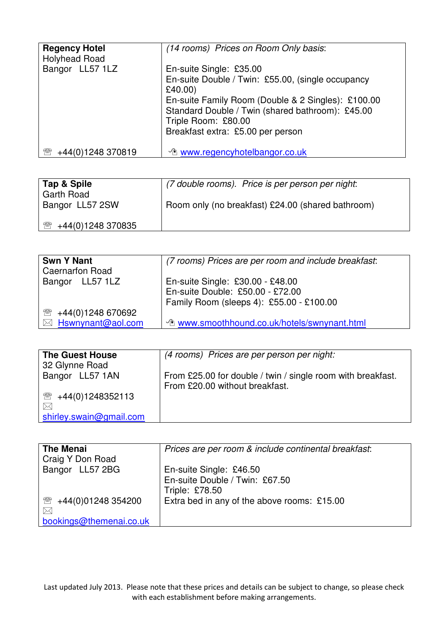| <b>Regency Hotel</b><br><b>Holyhead Road</b> | (14 rooms) Prices on Room Only basis:                                                                  |
|----------------------------------------------|--------------------------------------------------------------------------------------------------------|
| Bangor LL57 1LZ                              | En-suite Single: £35.00                                                                                |
|                                              | En-suite Double / Twin: £55.00, (single occupancy<br>£40.00)                                           |
|                                              | En-suite Family Room (Double & 2 Singles): £100.00<br>Standard Double / Twin (shared bathroom): £45.00 |
|                                              | Triple Room: £80.00                                                                                    |
|                                              | Breakfast extra: £5.00 per person                                                                      |
| +44(0)1248 370819<br>邻                       | <b><i><u>A www.regencyhotelbangor.co.uk</u></i></b>                                                    |

| Tap & Spile<br><b>Garth Road</b>  | (7 double rooms). Price is per person per night:  |
|-----------------------------------|---------------------------------------------------|
| Bangor LL57 2SW                   | Room only (no breakfast) £24.00 (shared bathroom) |
| +44(0)1248 370835<br>$\mathbb{R}$ |                                                   |

| <b>Swn Y Nant</b>                  | (7 rooms) Prices are per room and include breakfast: |
|------------------------------------|------------------------------------------------------|
| <b>Caernarfon Road</b>             |                                                      |
| Bangor LL57 1LZ                    | En-suite Single: £30.00 - £48.00                     |
|                                    | En-suite Double: £50.00 - £72.00                     |
|                                    | Family Room (sleeps 4): £55.00 - £100.00             |
| 1248 670692 <del>1</del> 44(0)1248 |                                                      |
| $\boxtimes$ Hswnynant@aol.com      | <b>To www.smoothhound.co.uk/hotels/swnynant.html</b> |

| <b>The Guest House</b><br>32 Glynne Road | (4 rooms) Prices are per person per night:                                                    |
|------------------------------------------|-----------------------------------------------------------------------------------------------|
| Bangor LL57 1AN                          | From £25.00 for double / twin / single room with breakfast.<br>From £20.00 without breakfast. |
| $\mathbb{R}$<br>+44(0)1248352113         |                                                                                               |
| $\bowtie$                                |                                                                                               |
| shirley.swain@gmail.com                  |                                                                                               |

| <b>The Menai</b>                   | Prices are per room & include continental breakfast: |
|------------------------------------|------------------------------------------------------|
| Craig Y Don Road                   |                                                      |
| Bangor LL57 2BG                    | En-suite Single: £46.50                              |
|                                    | En-suite Double / Twin: £67.50                       |
|                                    | <b>Triple: £78.50</b>                                |
| +44(0)01248 354200<br>$\mathbb{R}$ | Extra bed in any of the above rooms: £15.00          |
| $\bowtie$                          |                                                      |
| bookings@themenai.co.uk            |                                                      |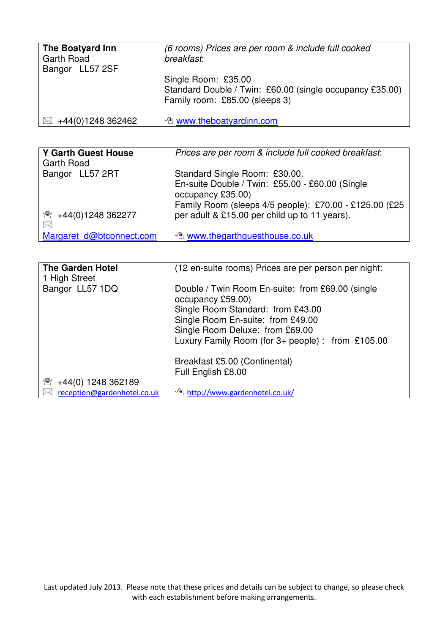| The Boatyard Inn<br><b>Garth Road</b><br>Bangor LL57 2SF | (6 rooms) Prices are per room & include full cooked<br>breakfast:                                                 |
|----------------------------------------------------------|-------------------------------------------------------------------------------------------------------------------|
|                                                          | Single Room: £35.00<br>Standard Double / Twin: £60.00 (single occupancy £35.00)<br>Family room: £85.00 (sleeps 3) |
| +44(0)1248 362462<br>$\bowtie$                           | $\Diamond$ www.theboatyardinn.com                                                                                 |

| <b>Y Garth Guest House</b><br><b>Garth Road</b> | Prices are per room & include full cooked breakfast:                                                                           |
|-------------------------------------------------|--------------------------------------------------------------------------------------------------------------------------------|
| Bangor LL57 2RT                                 | Standard Single Room: £30.00.                                                                                                  |
|                                                 | En-suite Double / Twin: £55.00 - £60.00 (Single<br>occupancy £35.00)<br>Family Room (sleeps 4/5 people): £70.00 - £125.00 (£25 |
| 1248 362277 <del>1</del> 44(0) 1248             | per adult & £15.00 per child up to 11 years).                                                                                  |
| $\boxtimes$                                     |                                                                                                                                |
| Margaret d@btconnect.com                        | <sup>1</sup> www.thegarthguesthouse.co.uk                                                                                      |

| <b>The Garden Hotel</b><br>1 High Street | (12 en-suite rooms) Prices are per person per night:                  |
|------------------------------------------|-----------------------------------------------------------------------|
| Bangor LL57 1DQ                          | Double / Twin Room En-suite: from £69.00 (single<br>occupancy £59.00) |
|                                          | Single Room Standard: from £43.00                                     |
|                                          | Single Room En-suite: from £49.00                                     |
|                                          |                                                                       |
|                                          | Single Room Deluxe: from £69.00                                       |
|                                          | Luxury Family Room (for $3+$ people): from £105.00                    |
|                                          |                                                                       |
|                                          | Breakfast £5.00 (Continental)                                         |
|                                          | Full English £8.00                                                    |
| +44(0) 1248 362189<br><b>PRP</b>         |                                                                       |
|                                          |                                                                       |
| reception@gardenhotel.co.uk              | <sup>1</sup> http://www.gardenhotel.co.uk/                            |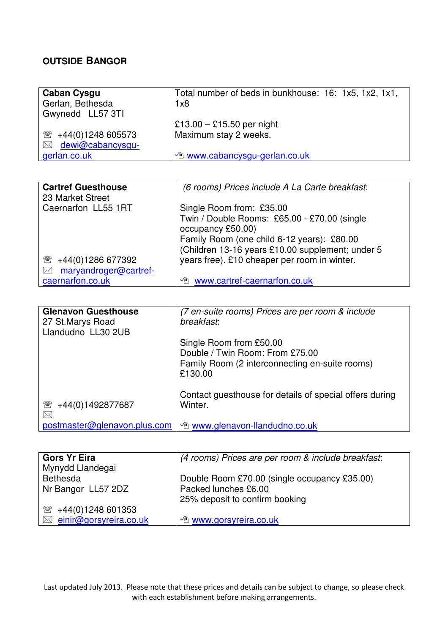## **OUTSIDE BANGOR**

| <b>Caban Cysgu</b>            | Total number of beds in bunkhouse: 16: 1x5, 1x2, 1x1, |
|-------------------------------|-------------------------------------------------------|
| Gerlan, Bethesda              | 1x8                                                   |
| Gwynedd LL57 3TI              |                                                       |
|                               | £13.00 - £15.50 per night                             |
| 1248 605573                   | Maximum stay 2 weeks.                                 |
| dewi@cabancysgu-<br>$\bowtie$ |                                                       |
| gerlan.co.uk                  | <b><i><u>A www.cabancysgu-gerlan.co.uk</u></i></b>    |

| <b>Cartref Guesthouse</b><br>23 Market Street | (6 rooms) Prices include A La Carte breakfast:   |
|-----------------------------------------------|--------------------------------------------------|
| Caernarfon LL55 1RT                           | Single Room from: £35.00                         |
|                                               | Twin / Double Rooms: £65.00 - £70.00 (single     |
|                                               | occupancy £50.00)                                |
|                                               | Family Room (one child 6-12 years): £80.00       |
|                                               | (Children 13-16 years £10.00 supplement; under 5 |
| +44(0)1286 677392<br>☎                        | years free). £10 cheaper per room in winter.     |
| maryandroger@cartref-<br>$\bowtie$            |                                                  |
| caernarfon.co.uk                              | www.cartref-caernarfon.co.uk<br>∽∕ो              |

| <b>Glenavon Guesthouse</b><br>27 St. Marys Road<br>Llandudno LL30 2UB | (7 en-suite rooms) Prices are per room & include<br>breakfast:                                                          |
|-----------------------------------------------------------------------|-------------------------------------------------------------------------------------------------------------------------|
|                                                                       | Single Room from £50.00<br>Double / Twin Room: From £75.00<br>Family Room (2 interconnecting en-suite rooms)<br>£130.00 |
| +44(0)1492877687<br>₩<br>$\bowtie$                                    | Contact guesthouse for details of special offers during<br>Winter.                                                      |
| postmaster@glenavon.plus.com                                          | <b><i><sup>th</sup></i></b> www.glenavon-llandudno.co.uk                                                                |

| <b>Gors Yr Eira</b>                | (4 rooms) Prices are per room & include breakfast: |
|------------------------------------|----------------------------------------------------|
| Mynydd Llandegai                   |                                                    |
| <b>Bethesda</b>                    | Double Room £70.00 (single occupancy £35.00)       |
| Nr Bangor LL57 2DZ                 | Packed lunches £6.00                               |
|                                    | 25% deposit to confirm booking                     |
| $\mathbb{R}$ +44(0)1248 601353     |                                                    |
| $\boxtimes$ einir@gorsyreira.co.uk | <sup>1</sup> www.gorsyreira.co.uk                  |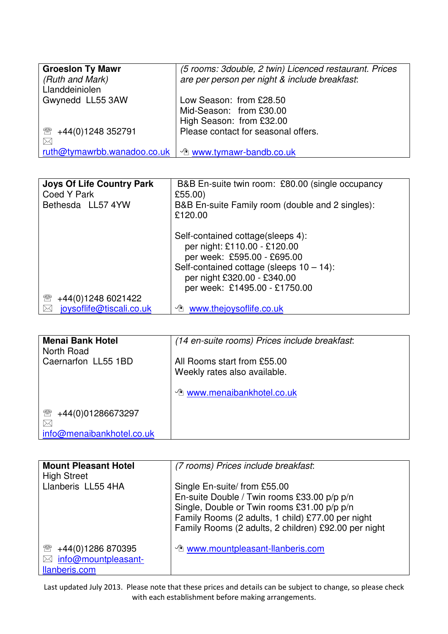| <b>Groeslon Ty Mawr</b>     | (5 rooms: 3double, 2 twin) Licenced restaurant. Prices |
|-----------------------------|--------------------------------------------------------|
| (Ruth and Mark)             | are per person per night & include breakfast:          |
| Llanddeiniolen              |                                                        |
| Gwynedd LL55 3AW            | Low Season: from £28.50                                |
|                             | Mid-Season: from £30.00                                |
|                             | High Season: from £32.00                               |
| +44(0)1248 352791<br>☎      | Please contact for seasonal offers.                    |
| $\bowtie$                   |                                                        |
| ruth@tymawrbb.wanadoo.co.uk | The www.tymawr-bandb.co.uk                             |

| <b>Joys Of Life Country Park</b><br>Coed Y Park | B&B En-suite twin room: £80.00 (single occupancy<br>£55.00)                                                                                                                                                     |
|-------------------------------------------------|-----------------------------------------------------------------------------------------------------------------------------------------------------------------------------------------------------------------|
| Bethesda LL57 4YW                               | B&B En-suite Family room (double and 2 singles):<br>£120.00                                                                                                                                                     |
|                                                 | Self-contained cottage(sleeps 4):<br>per night: £110.00 - £120.00<br>per week: £595.00 - £695.00<br>Self-contained cottage (sleeps $10 - 14$ ):<br>per night £320.00 - £340.00<br>per week: £1495.00 - £1750.00 |
| +44(0)1248 6021422<br>☎                         |                                                                                                                                                                                                                 |
| joysoflife@tiscali.co.uk<br>$\boxtimes$         | <b><i><sup>th</sup></i></b> www.thejoysoflife.co.uk                                                                                                                                                             |

| <b>Menai Bank Hotel</b><br>North Road | (14 en-suite rooms) Prices include breakfast:               |
|---------------------------------------|-------------------------------------------------------------|
| Caernarfon LL55 1BD                   | All Rooms start from £55.00<br>Weekly rates also available. |
|                                       | <sup>1</sup> www.menaibankhotel.co.uk                       |
| T<br>+44(0)01286673297<br>$\bowtie$   |                                                             |
| info@menaibankhotel.co.uk             |                                                             |

| <b>Mount Pleasant Hotel</b><br><b>High Street</b>                           | (7 rooms) Prices include breakfast:                                                                                                                                                                                                     |
|-----------------------------------------------------------------------------|-----------------------------------------------------------------------------------------------------------------------------------------------------------------------------------------------------------------------------------------|
| Llanberis LL55 4HA                                                          | Single En-suite/ from £55.00<br>En-suite Double / Twin rooms £33.00 p/p p/n<br>Single, Double or Twin rooms £31.00 p/p p/n<br>Family Rooms (2 adults, 1 child) £77.00 per night<br>Family Rooms (2 adults, 2 children) £92.00 per night |
| +44(0)1286 870395<br>☎<br>info@mountpleasant-<br>$\bowtie$<br>llanberis.com | <b><i><u>O</u></i></b> www.mountpleasant-llanberis.com                                                                                                                                                                                  |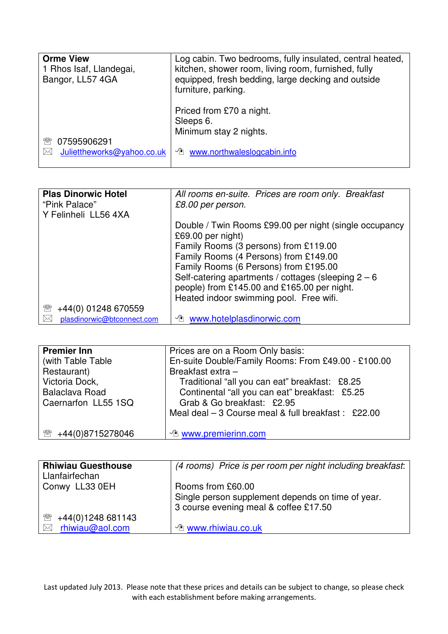| <b>Orme View</b><br>1 Rhos Isaf, Llandegai,<br>Bangor, LL57 4GA | Log cabin. Two bedrooms, fully insulated, central heated,<br>kitchen, shower room, living room, furnished, fully<br>equipped, fresh bedding, large decking and outside<br>furniture, parking. |
|-----------------------------------------------------------------|-----------------------------------------------------------------------------------------------------------------------------------------------------------------------------------------------|
| 07595906291                                                     | Priced from £70 a night.                                                                                                                                                                      |
| 9™                                                              | Sleeps 6.                                                                                                                                                                                     |
| Juliettheworks@yahoo.co.uk                                      | Minimum stay 2 nights.                                                                                                                                                                        |
| $\bowtie$                                                       | <b><i><u>A</u></i></b> www.northwaleslogcabin.info                                                                                                                                            |

| <b>Plas Dinorwic Hotel</b><br>"Pink Palace" | All rooms en-suite. Prices are room only. Breakfast<br>£8.00 per person.                                                                        |
|---------------------------------------------|-------------------------------------------------------------------------------------------------------------------------------------------------|
| Y Felinheli LL56 4XA                        | Double / Twin Rooms £99.00 per night (single occupancy<br>£69.00 per night)<br>Family Rooms (3 persons) from £119.00                            |
|                                             | Family Rooms (4 Persons) from £149.00<br>Family Rooms (6 Persons) from £195.00                                                                  |
|                                             | Self-catering apartments / cottages (sleeping $2 - 6$<br>people) from £145.00 and £165.00 per night.<br>Heated indoor swimming pool. Free wifi. |
| $\mathbb{R}$<br>+44(0) 01248 670559         |                                                                                                                                                 |
| plasdinorwic@btconnect.com                  | <b>The www.hotelplasdinorwic.com</b>                                                                                                            |

| <b>Premier Inn</b><br>(with Table Table)<br>Restaurant)<br>Victoria Dock,<br><b>Balaclava Road</b><br>Caernarfon LL55 1SQ | Prices are on a Room Only basis:<br>En-suite Double/Family Rooms: From £49.00 - £100.00<br>Breakfast extra -<br>Traditional "all you can eat" breakfast: £8.25<br>Continental "all you can eat" breakfast: £5.25<br>Grab & Go breakfast: £2.95<br>Meal deal $-3$ Course meal & full breakfast : £22.00 |
|---------------------------------------------------------------------------------------------------------------------------|--------------------------------------------------------------------------------------------------------------------------------------------------------------------------------------------------------------------------------------------------------------------------------------------------------|
| +44(0)8715278046<br>$\mathbb{R}$                                                                                          | └ www.premierinn.com                                                                                                                                                                                                                                                                                   |

| <b>Rhiwiau Guesthouse</b><br>Llanfairfechan | (4 rooms) Price is per room per night including breakfast:                                                      |
|---------------------------------------------|-----------------------------------------------------------------------------------------------------------------|
| Conwy LL33 0EH                              | Rooms from £60.00<br>Single person supplement depends on time of year.<br>3 course evening meal & coffee £17.50 |
| +44(0)1248 681143<br>₩                      |                                                                                                                 |
| rhiwiau@aol.com<br>$\bowtie$                | <b><i>L</i></b> www.rhiwiau.co.uk                                                                               |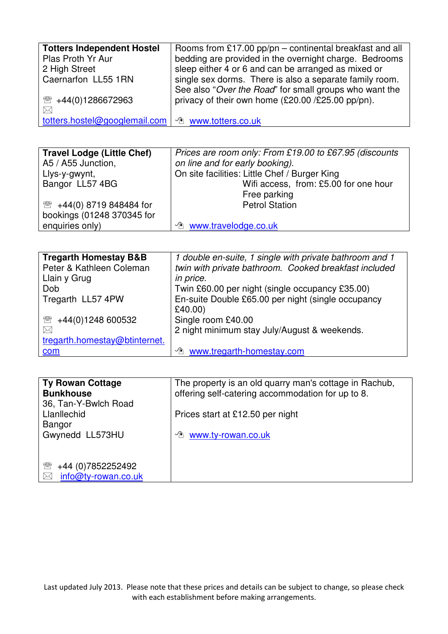| <b>Totters Independent Hostel</b> | Rooms from £17.00 pp/pn – continental breakfast and all |
|-----------------------------------|---------------------------------------------------------|
| Plas Proth Yr Aur                 | bedding are provided in the overnight charge. Bedrooms  |
| 2 High Street                     | sleep either 4 or 6 and can be arranged as mixed or     |
| Caernarfon LL55 1RN               | single sex dorms. There is also a separate family room. |
|                                   | See also "Over the Road" for small groups who want the  |
| 2 +44(0)1286672963                | privacy of their own home (£20.00 /£25.00 pp/pn).       |
| $\boxtimes$                       |                                                         |
| totters.hostel@googlemail.com     | <b><i><sup>n</sup></i></b> www.totters.co.uk            |

| <b>Travel Lodge (Little Chef)</b>   | Prices are room only: From £19.00 to £67.95 (discounts |
|-------------------------------------|--------------------------------------------------------|
| A5 / A55 Junction,                  | on line and for early booking).                        |
| Llys-y-gwynt,                       | On site facilities: Little Chef / Burger King          |
| Bangor LL57 4BG                     | Wifi access, from: £5.00 for one hour                  |
|                                     | Free parking                                           |
| <sup>3</sup> +44(0) 8719 848484 for | <b>Petrol Station</b>                                  |
| bookings (01248 370345 for          |                                                        |
| enquiries only)                     | <sup>1</sup> www.travelodge.co.uk                      |

| <b>Tregarth Homestay B&amp;B</b> | 1 double en-suite, 1 single with private bathroom and 1 |
|----------------------------------|---------------------------------------------------------|
| Peter & Kathleen Coleman         | twin with private bathroom. Cooked breakfast included   |
| Llain y Grug                     | in price.                                               |
| Dob                              | Twin £60.00 per night (single occupancy £35.00)         |
| Tregarth LL57 4PW                | En-suite Double £65.00 per night (single occupancy      |
|                                  | £40.00)                                                 |
| ☎<br>+44(0)1248 600532           | Single room £40.00                                      |
| $\bowtie$                        | 2 night minimum stay July/August & weekends.            |
| tregarth.homestay@btinternet.    |                                                         |
| com                              | www.tregarth-homestay.com<br>∽∕ो                        |

| <b>Ty Rowan Cottage</b><br><b>Bunkhouse</b> | The property is an old quarry man's cottage in Rachub,<br>offering self-catering accommodation for up to 8. |
|---------------------------------------------|-------------------------------------------------------------------------------------------------------------|
| 36, Tan-Y-Bwlch Road                        |                                                                                                             |
| Llanllechid<br>Bangor                       | Prices start at £12.50 per night                                                                            |
| Gwynedd LL573HU                             | www.ty-rowan.co.uk<br>√门                                                                                    |
|                                             |                                                                                                             |
|                                             |                                                                                                             |
| +44 (0) 7852252492<br>₩                     |                                                                                                             |
| info@ty-rowan.co.uk<br>$\bowtie$            |                                                                                                             |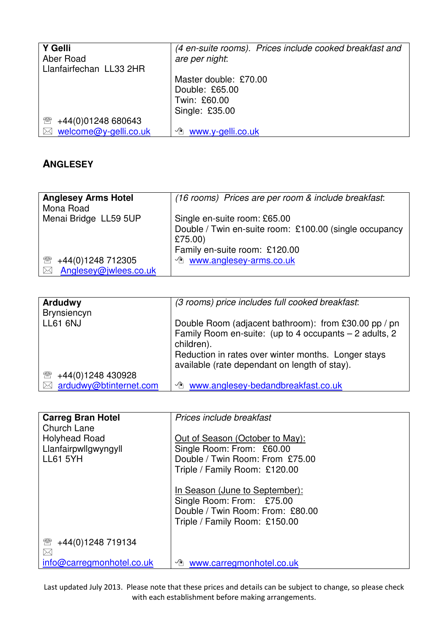| (4 en-suite rooms). Prices include cooked breakfast and |
|---------------------------------------------------------|
| are per night:                                          |
|                                                         |
| Master double: £70.00                                   |
| Double: £65.00                                          |
| Twin: £60.00                                            |
| Single: £35.00                                          |
|                                                         |
| www.y-gelli.co.uk<br>$\sqrt{r}$                         |
|                                                         |

## **ANGLESEY**

| <b>Anglesey Arms Hotel</b><br>Mona Road | (16 rooms) Prices are per room & include breakfast:                                                                                |
|-----------------------------------------|------------------------------------------------------------------------------------------------------------------------------------|
| Menai Bridge LL59 5UP                   | Single en-suite room: £65.00<br>Double / Twin en-suite room: £100.00 (single occupancy<br>£75.00)<br>Family en-suite room: £120.00 |
| +44(0)1248 712305<br>$\mathbb{R}$       | <sup>1</sup> www.anglesey-arms.co.uk                                                                                               |
| Anglesey@jwlees.co.uk<br>$\bowtie$      |                                                                                                                                    |

| <b>Ardudwy</b>         | (3 rooms) price includes full cooked breakfast:        |
|------------------------|--------------------------------------------------------|
| <b>Brynsiencyn</b>     |                                                        |
| <b>LL61 6NJ</b>        | Double Room (adjacent bathroom): from £30.00 pp / pn   |
|                        | Family Room en-suite: (up to 4 occupants - 2 adults, 2 |
|                        | children).                                             |
|                        | Reduction in rates over winter months. Longer stays    |
|                        | available (rate dependant on length of stay).          |
| +44(0)1248 430928<br>T |                                                        |
| ardudwy@btinternet.com | www.anglesey-bedandbreakfast.co.uk<br>√∎े              |

| <b>Carreg Bran Hotel</b><br><b>Church Lane</b>                  | Prices include breakfast                                                                                                         |
|-----------------------------------------------------------------|----------------------------------------------------------------------------------------------------------------------------------|
| <b>Holyhead Road</b><br>Llanfairpwllgwyngyll<br><b>LL61 5YH</b> | Out of Season (October to May):<br>Single Room: From: £60.00<br>Double / Twin Room: From £75.00<br>Triple / Family Room: £120.00 |
|                                                                 | In Season (June to September):<br>Single Room: From: £75.00<br>Double / Twin Room: From: £80.00<br>Triple / Family Room: £150.00 |
| ☎<br>+44(0)1248 719134<br>$\boxtimes$                           |                                                                                                                                  |
| info@carregmonhotel.co.uk                                       | <b><i><u>A</u></i></b> www.carregmonhotel.co.uk                                                                                  |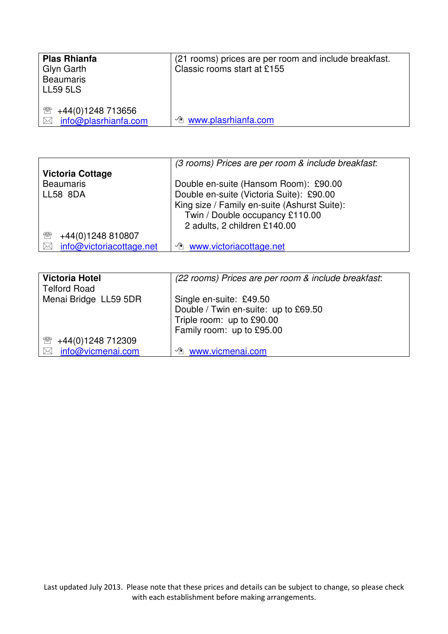| <b>Plas Rhianfa</b><br>Glyn Garth<br><b>Beaumaris</b><br><b>LL59 5LS</b> | (21 rooms) prices are per room and include breakfast.<br>Classic rooms start at £155 |
|--------------------------------------------------------------------------|--------------------------------------------------------------------------------------|
| +44(0)1248 713656<br>$\mathbb{R}$<br>info@plasrhianfa.com<br>$\bowtie$   | <b><i><u>A</u></i></b> www.plasrhianfa.com                                           |

|                                       | (3 rooms) Prices are per room & include breakfast: |
|---------------------------------------|----------------------------------------------------|
| <b>Victoria Cottage</b>               |                                                    |
| <b>Beaumaris</b>                      | Double en-suite (Hansom Room): £90.00              |
| <b>LL58 8DA</b>                       | Double en-suite (Victoria Suite): £90.00           |
|                                       | King size / Family en-suite (Ashurst Suite):       |
|                                       | Twin / Double occupancy £110.00                    |
|                                       | 2 adults, 2 children £140.00                       |
| +44(0)1248 810807<br>$\mathbb{R}$     |                                                    |
| info@victoriacottage.net<br>$\bowtie$ | The www.victoriacottage.net                        |

| <b>Victoria Hotel</b><br><b>Telford Road</b> | (22 rooms) Prices are per room & include breakfast:                                                                       |
|----------------------------------------------|---------------------------------------------------------------------------------------------------------------------------|
| Menai Bridge LL59 5DR                        | Single en-suite: £49.50<br>Double / Twin en-suite: up to £69.50<br>Triple room: up to £90.00<br>Family room: up to £95.00 |
| +44(0)1248 712309<br>₩                       |                                                                                                                           |
| info@vicmenai.com<br>$\bowtie$               | <sup>1</sup> www.vicmenai.com                                                                                             |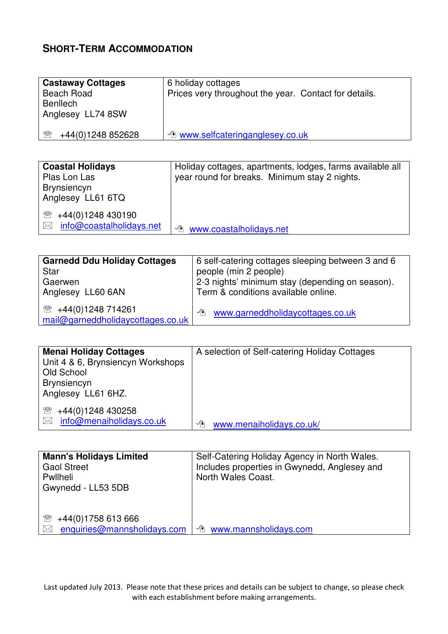## **SHORT-TERM ACCOMMODATION**

| <b>Castaway Cottages</b><br><b>Beach Road</b><br><b>Benllech</b><br>Anglesey LL74 8SW | 6 holiday cottages<br>Prices very throughout the year. Contact for details. |
|---------------------------------------------------------------------------------------|-----------------------------------------------------------------------------|
| $\mathbb{R}$<br>+44(0)1248 852628                                                     | <b><i><u>A www.selfcateringanglesey.co.uk</u></i></b>                       |

| <b>Coastal Holidays</b><br>Plas Lon Las<br><b>Brynsiencyn</b><br>Anglesey LL61 6TQ | Holiday cottages, apartments, lodges, farms available all<br>year round for breaks. Minimum stay 2 nights. |
|------------------------------------------------------------------------------------|------------------------------------------------------------------------------------------------------------|
| $\mathbb{R}$<br>+44(0)1248 430190<br>info@coastalholidays.net<br>$\boxtimes$       | <b><i><sup>th</sup></i></b> www.coastalholidays.net                                                        |

| <b>Garnedd Ddu Holiday Cottages</b> | 6 self-catering cottages sleeping between 3 and 6 |
|-------------------------------------|---------------------------------------------------|
| <b>Star</b>                         | people (min 2 people)                             |
| Gaerwen                             | 2-3 nights' minimum stay (depending on season).   |
| Anglesey LL60 6AN                   | Term & conditions available online.               |
| ■ +44(0)1248 714261                 | www.garneddholidaycottages.co.uk                  |
| mail@garneddholidaycottages.co.uk   | ∽∕ो                                               |

| <b>Menai Holiday Cottages</b><br>Unit 4 & 6, Brynsiencyn Workshops<br>Old School<br><b>Brynsiencyn</b><br>Anglesey LL61 6HZ. | A selection of Self-catering Holiday Cottages |
|------------------------------------------------------------------------------------------------------------------------------|-----------------------------------------------|
| +44(0)1248 430258<br>₩<br>info@menaiholidays.co.uk<br>$\bowtie$                                                              | www.menaiholidays.co.uk/<br>∽                 |

| <b>Mann's Holidays Limited</b><br><b>Gaol Street</b><br>Pwllheli<br>Gwynedd - LL53 5DB | Self-Catering Holiday Agency in North Wales.<br>Includes properties in Gwynedd, Anglesey and<br>North Wales Coast. |
|----------------------------------------------------------------------------------------|--------------------------------------------------------------------------------------------------------------------|
| $\mathbb{R}$<br>+44(0)1758 613 666<br>enquiries@mannsholidays.com<br>$\boxtimes$       | <b><i><u>A</u></i></b> www.mannsholidays.com                                                                       |